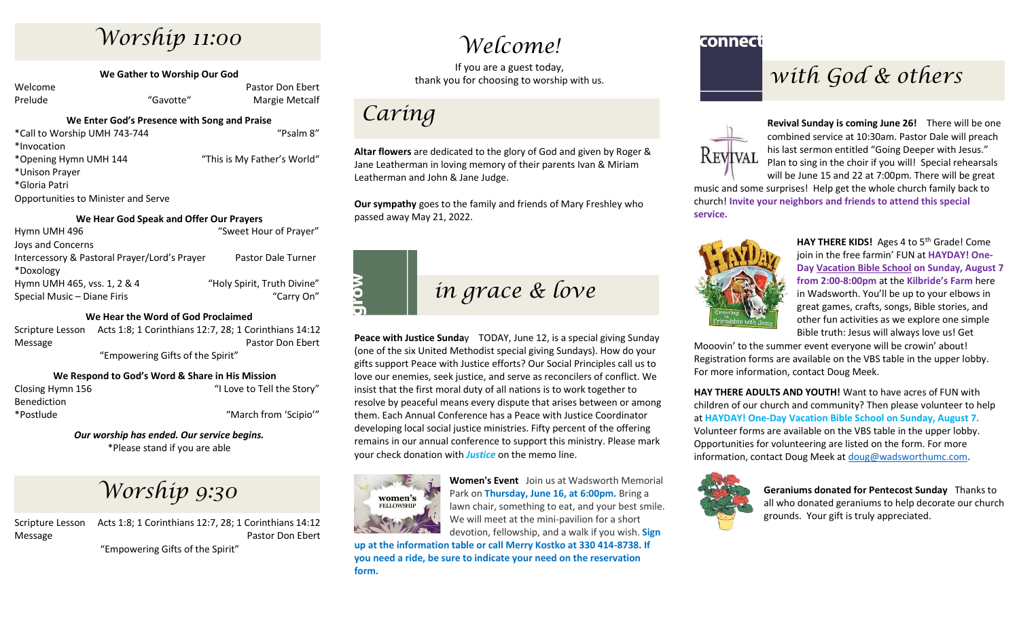# *Worship 11:00*

**We Gather to Worship Our God**

Welcome **Pastor Don Ebert** Pastor Don Ebert Prelude "Gavotte" Margie Metcalf

### **We Enter God's Presence with Song and Praise**

| "Psalm 8"                   |
|-----------------------------|
|                             |
| "This is My Father's World" |
|                             |
|                             |
|                             |
|                             |

### **We Hear God Speak and Offer Our Prayers**

| Hymn UMH 496                                 | "Sweet Hour of Prayer"      |
|----------------------------------------------|-----------------------------|
| Joys and Concerns                            |                             |
| Intercessory & Pastoral Prayer/Lord's Prayer | <b>Pastor Dale Turner</b>   |
| *Doxology                                    |                             |
| Hymn UMH 465, vss. 1, 2 & 4                  | "Holy Spirit, Truth Divine" |
| Special Music - Diane Firis                  | "Carry On"                  |
|                                              |                             |

## **We Hear the Word of God Proclaimed**

|         | Scripture Lesson Acts 1:8: 1 Corinthians 12:7, 28: 1 Corinthians 14:12 |                  |
|---------|------------------------------------------------------------------------|------------------|
| Message |                                                                        | Pastor Don Ebert |
|         | "Empowering Gifts of the Spirit"                                       |                  |

### **We Respond to God's Word & Share in His Mission**

| Closing Hymn 156   | "I Love to Tell the Story" |
|--------------------|----------------------------|
| <b>Benediction</b> |                            |
| *Postlude          | "March from 'Scipio'"      |

*Our worship has ended. Our service begins.* \*Please stand if you are able

# *Worship 9:30*

Scripture Lesson Acts 1:8; 1 Corinthians 12:7, 28; 1 Corinthians 14:12 Message Pastor Don Ebert "Empowering Gifts of the Spirit"

## *Welcome!*

If you are a guest today, thank you for choosing to worship with us.

# *Caring*

MO

**Altar flowers** are dedicated to the glory of God and given by Roger & Jane Leatherman in loving memory of their parents Ivan & Miriam Leatherman and John & Jane Judge.

**Our sympathy** goes to the family and friends of Mary Freshley who passed away May 21, 2022.

## **Peace with Justice Sunda**y TODAY, June 12, is a special giving Sunday (one of the six United Methodist special giving Sundays). How do your gifts support Peace with Justice efforts? Our Social Principles call us to love our enemies, seek justice, and serve as reconcilers of conflict. We insist that the first moral duty of all nations is to work together to resolve by peaceful means every dispute that arises between or among them. Each Annual Conference has a Peace with Justice Coordinator

 *in grace & love*

developing local social justice ministries. Fifty percent of the offering remains in our annual conference to support this ministry. Please mark your check donation with *Justice* on the memo line.



**Women's Event** Join us at Wadsworth Memorial Park on **Thursday, June 16, at 6:00pm.** Bring a lawn chair, something to eat, and your best smile. We will meet at the mini-pavilion for a short devotion, fellowship, and a walk if you wish. **Sign** 

**up at the information table or call Merry Kostko at 330 414-8738. If you need a ride, be sure to indicate your need on the reservation form.**

## connect

# *with God & others*



**Revival Sunday is coming June 26!** There will be one combined service at 10:30am. Pastor Dale will preach his last sermon entitled "Going Deeper with Jesus." Plan to sing in the choir if you will! Special rehearsals will be June 15 and 22 at 7:00pm. There will be great

music and some surprises! Help get the whole church family back to church! **Invite your neighbors and friends to attend this special service.**



HAY THERE KIDS! Ages 4 to 5<sup>th</sup> Grade! Come join in the free farmin' FUN at **HAYDAY! One-Day Vacation Bible School on Sunday, August 7 from 2:00-8:00pm** at the **Kilbride's Farm** here in Wadsworth. You'll be up to your elbows in great games, crafts, songs, Bible stories, and other fun activities as we explore one simple Bible truth: Jesus will always love us! Get

Mooovin' to the summer event everyone will be crowin' about! Registration forms are available on the VBS table in the upper lobby. For more information, contact Doug Meek.

**HAY THERE ADULTS AND YOUTH!** Want to have acres of FUN with children of our church and community? Then please volunteer to help at **HAYDAY! One-Day Vacation Bible School on Sunday, August 7.** Volunteer forms are available on the VBS table in the upper lobby. Opportunities for volunteering are listed on the form. For more information, contact Doug Meek at [doug@wadsworthumc.com.](mailto:doug@wadsworthumc.com)



**Geraniums donated for Pentecost Sunday** Thanks to all who donated geraniums to help decorate our church grounds. Your gift is truly appreciated.